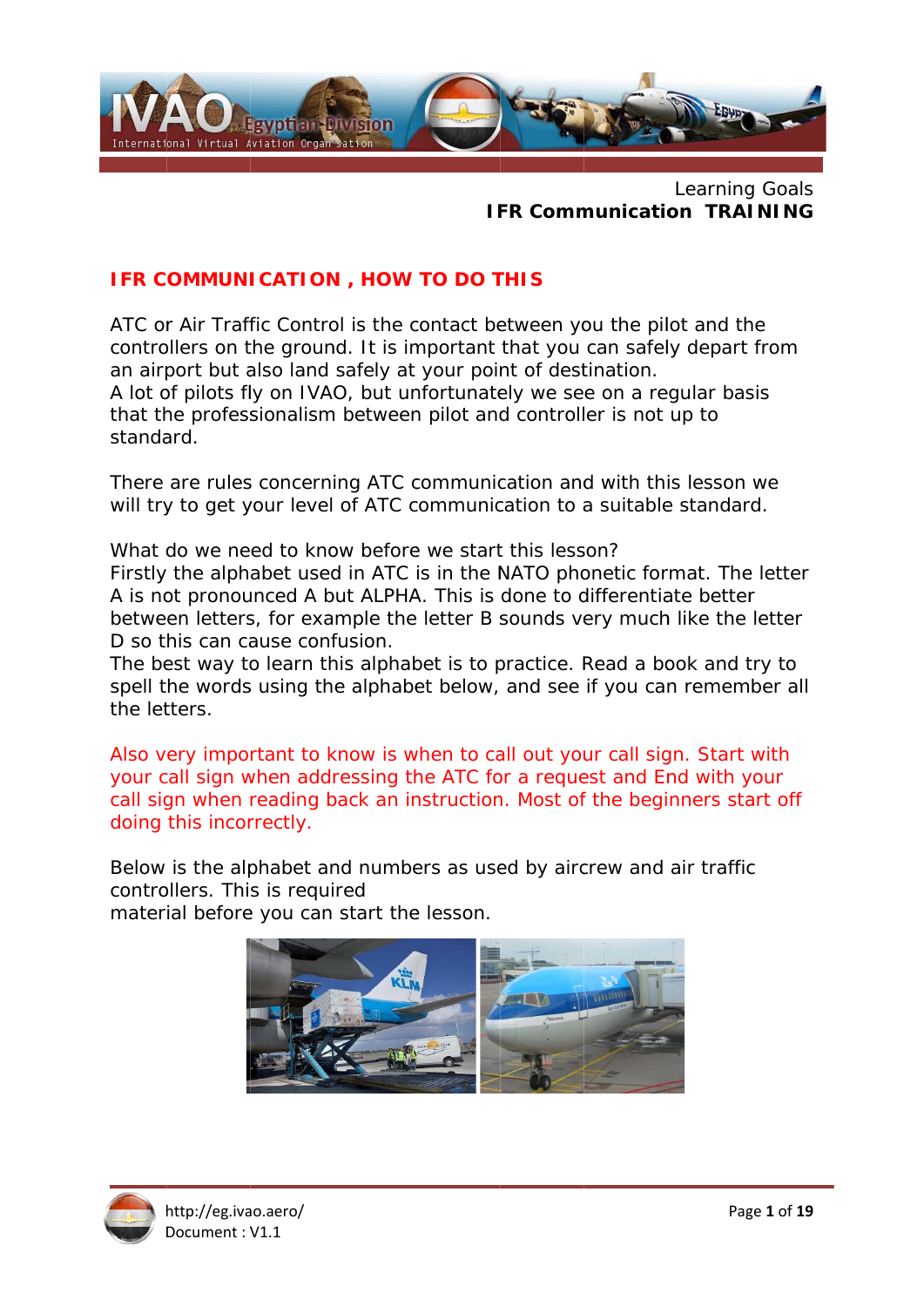

### Learning Goals **IFR Communication TRAINING**

### IFR COMMUNICATION, HOW TO DO THIS

ATC or Air Traffic Control is the contact between you the pilot and the controllers on the ground. It is important that you can safely depart from an airport but also land safely at your point of destination. A lot of pilots fly on IVAO, but unfortunately we see on a regular basis that the professionalism between pilot and controller is not up to standard.

There are rules concerning ATC communication and with this lesson we will try to get your level of ATC communication to a suitable standard.

What do we need to know before we start this lesson? Firstly the alphabet used in ATC is in the NATO phonetic format. The letter A is not pronounced A but ALPHA. This is done to differentiate better between letters, for example the letter B sounds very much like the letter D so this can cause confusion.

The best way to learn this alphabet is to practice. Read a book and try to spell the words using the alphabet below, and see if you can remember all the letters.

Also very important to know is when to call out your call sign. Start with your call sign when addressing the ATC for a request and End with your call sign when reading back an instruction. Most of the beginners start off doing this incorrectly.

Below is the alphabet and numbers as used by aircrew and air traffic controllers. This is required

material before you can start the lesson.



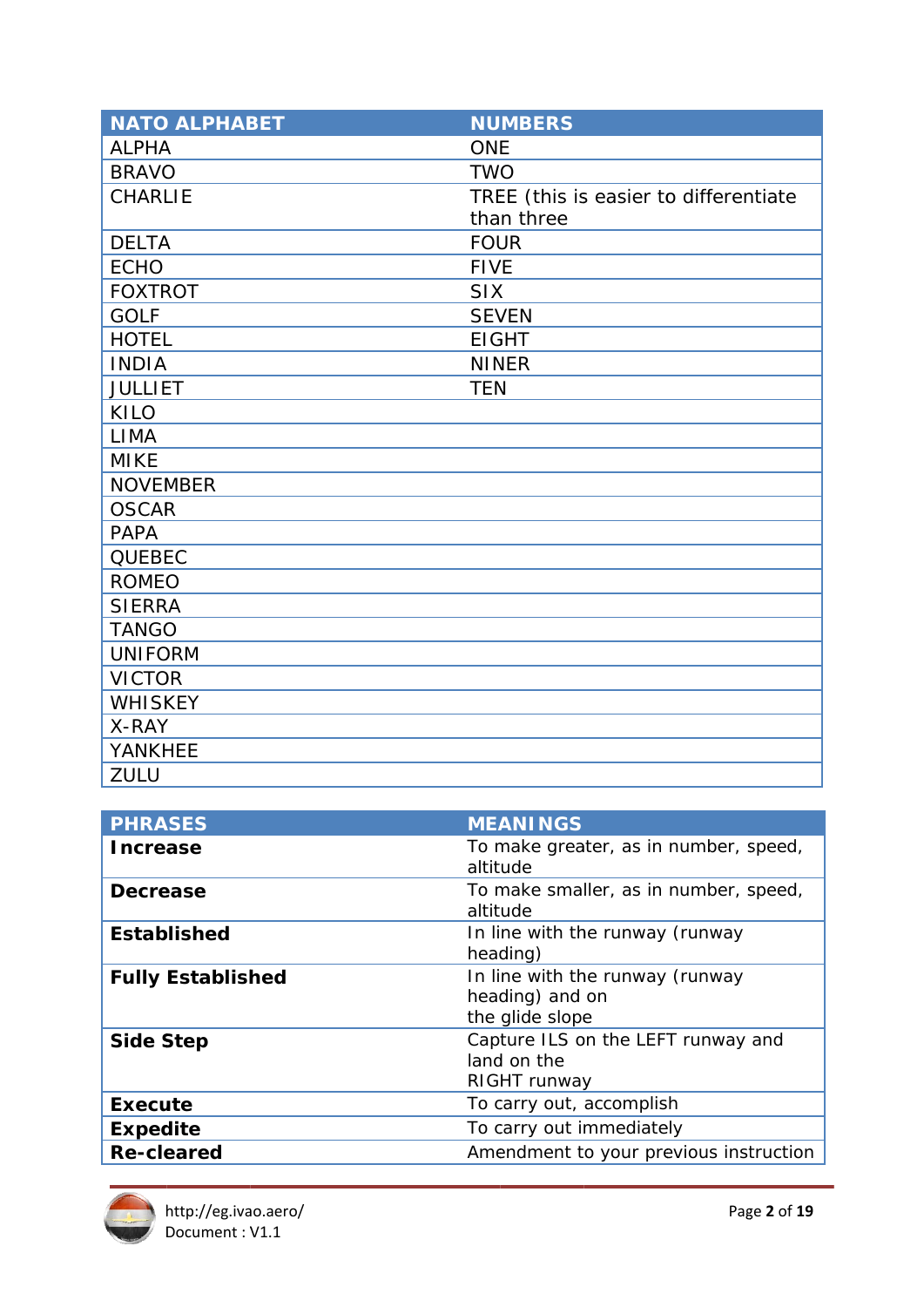| <b>NATO ALPHABET</b> | <b>NUMBERS</b>                        |
|----------------------|---------------------------------------|
| <b>ALPHA</b>         | <b>ONE</b>                            |
| <b>BRAVO</b>         | <b>TWO</b>                            |
| <b>CHARLIE</b>       | TREE (this is easier to differentiate |
|                      | than three                            |
| <b>DELTA</b>         | <b>FOUR</b>                           |
| <b>ECHO</b>          | <b>FIVE</b>                           |
| <b>FOXTROT</b>       | <b>SIX</b>                            |
| <b>GOLF</b>          | <b>SEVEN</b>                          |
| <b>HOTEL</b>         | <b>EIGHT</b>                          |
| <b>INDIA</b>         | <b>NINER</b>                          |
| <b>JULLIET</b>       | <b>TEN</b>                            |
| KILO                 |                                       |
| <b>LIMA</b>          |                                       |
| <b>MIKE</b>          |                                       |
| <b>NOVEMBER</b>      |                                       |
| <b>OSCAR</b>         |                                       |
| <b>PAPA</b>          |                                       |
| <b>QUEBEC</b>        |                                       |
| <b>ROMEO</b>         |                                       |
| <b>SIERRA</b>        |                                       |
| <b>TANGO</b>         |                                       |
| <b>UNIFORM</b>       |                                       |
| <b>VICTOR</b>        |                                       |
| <b>WHISKEY</b>       |                                       |
| X-RAY                |                                       |
| YANKHEE              |                                       |
| <b>ZULU</b>          |                                       |

| <b>PHRASES</b>           | <b>MEANINGS</b>                                                       |
|--------------------------|-----------------------------------------------------------------------|
| <b>Increase</b>          | To make greater, as in number, speed,<br>altitude                     |
| <b>Decrease</b>          | To make smaller, as in number, speed,<br>altitude                     |
| <b>Established</b>       | In line with the runway (runway<br>heading)                           |
| <b>Fully Established</b> | In line with the runway (runway<br>heading) and on<br>the glide slope |
| <b>Side Step</b>         | Capture ILS on the LEFT runway and<br>land on the<br>RIGHT runway     |
| <b>Execute</b>           | To carry out, accomplish                                              |
| <b>Expedite</b>          | To carry out immediately                                              |
| <b>Re-cleared</b>        | Amendment to your previous instruction                                |

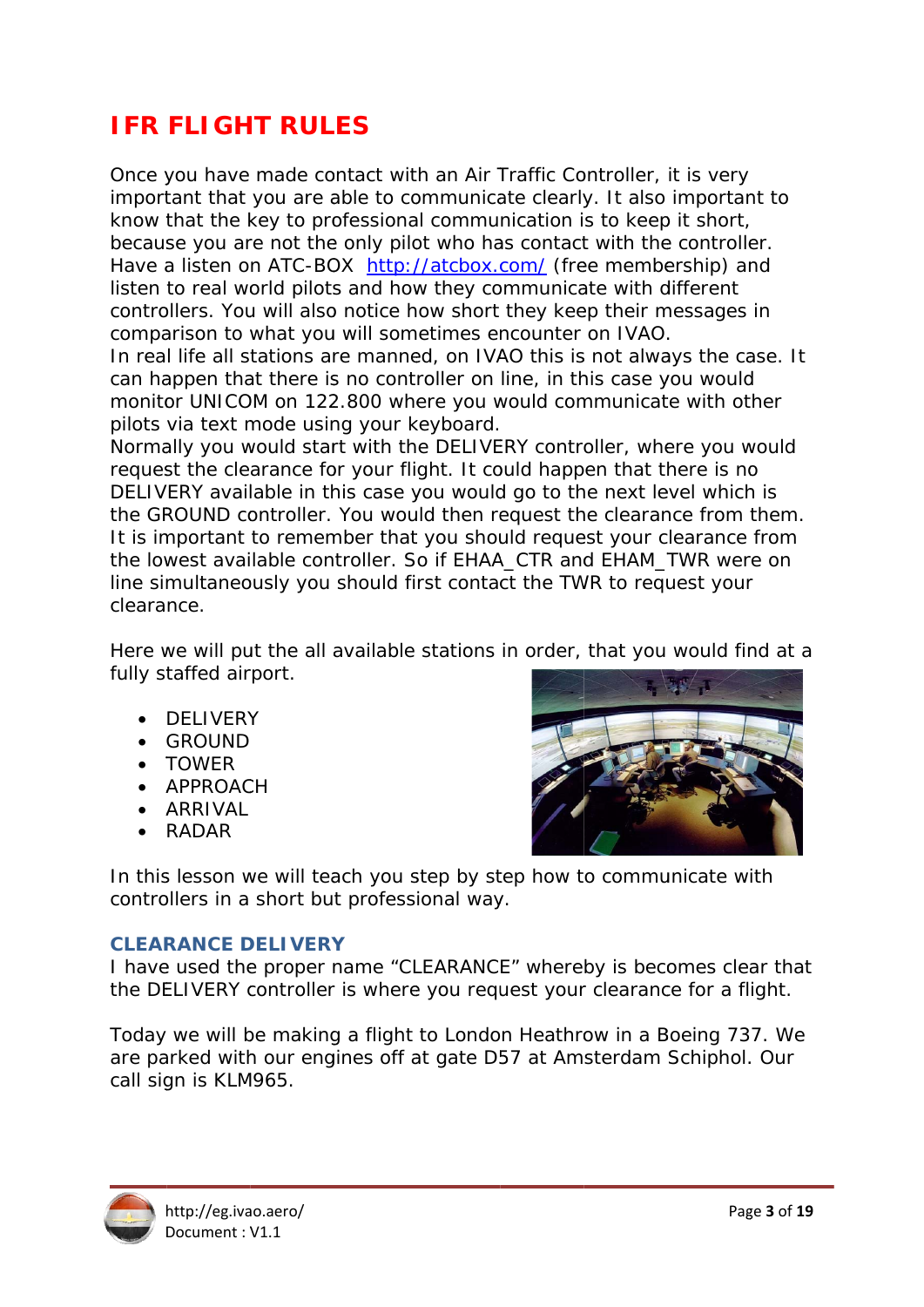# **IFR FLIGHT RULES**

Once you have made contact with an Air Traffic Controller, it is very important that you are able to communicate clearly. It also important to know that the key to professional communication is to keep it short, because you are not the only pilot who has contact with the controller. Have a listen on ATC-BOX http://atcbox.com/ (free membership) and listen to real world pilots and how they communicate with different controllers. You will also notice how short they keep their messages in comparison to what you will sometimes encounter on IVAO.

In real life all stations are manned, on IVAO this is not always the case. It can happen that there is no controller on line, in this case you would monitor UNICOM on 122.800 where you would communicate with other pilots via text mode using your keyboard.

Normally you would start with the DELIVERY controller, where you would request the clearance for your flight. It could happen that there is no DELIVERY available in this case you would go to the next level which is the GROUND controller. You would then request the clearance from them. It is important to remember that you should request your clearance from the lowest available controller. So if EHAA\_CTR and EHAM\_TWR were on line simultaneously you should first contact the TWR to request your clearance.

Here we will put the all available stations in order, that you would find at a fully staffed airport.

- DELIVERY
- $\bullet$  GROUND
- $\bullet$  TOWER
- APPROACH
- · ARRIVAI
- $\bullet$  RADAR



In this lesson we will teach you step by step how to communicate with controllers in a short but professional way.

### **CI FARANCE DEI IVERY**

I have used the proper name "CLEARANCE" whereby is becomes clear that the DELIVERY controller is where you request your clearance for a flight.

Today we will be making a flight to London Heathrow in a Boeing 737. We are parked with our engines off at gate D57 at Amsterdam Schiphol. Our call sign is KLM965.

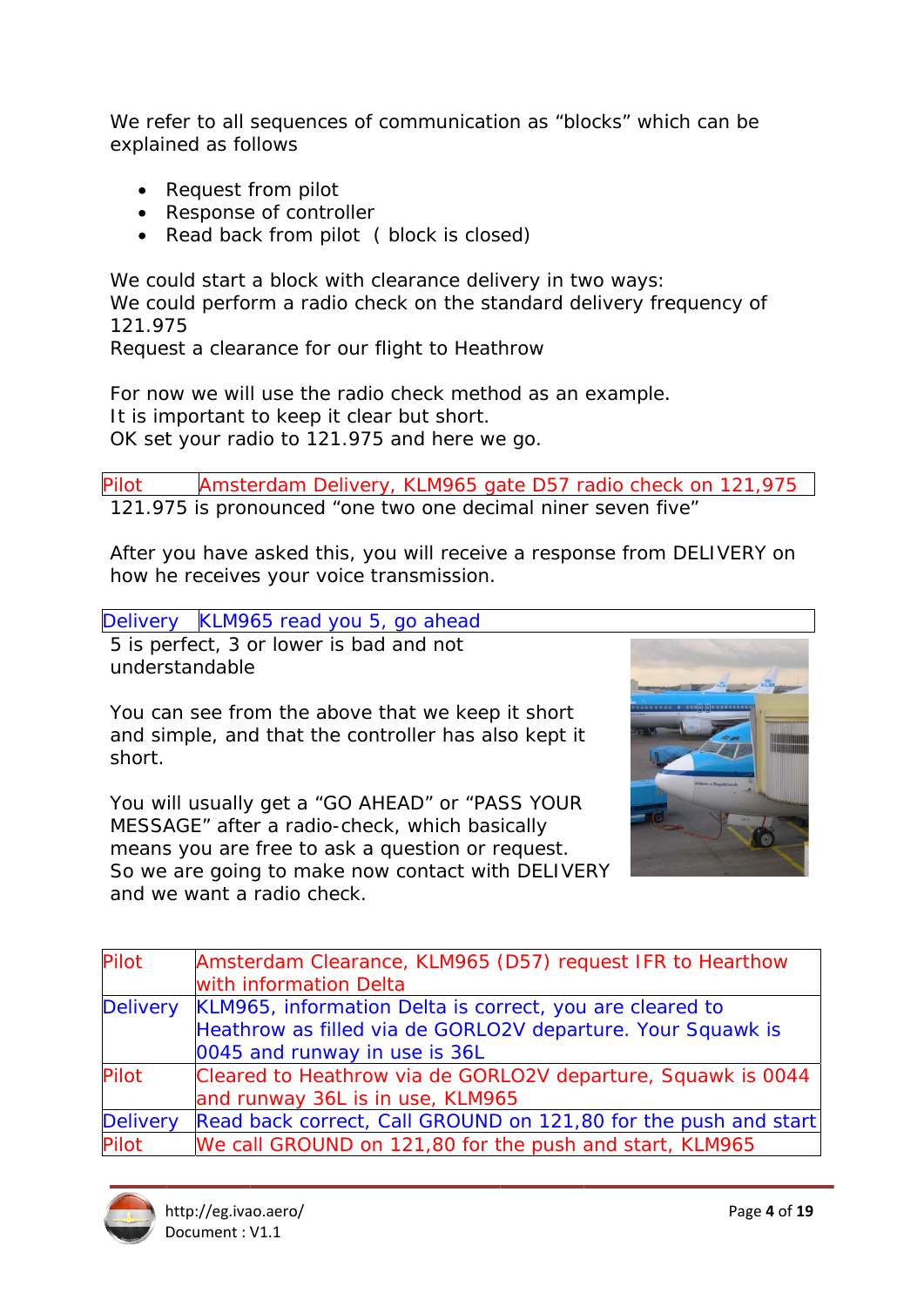We refer to all sequences of communication as "blocks" which can be explained as follows

- Request from pilot
- Response of controller
- Read back from pilot (block is closed)

We could start a block with clearance delivery in two ways: We could perform a radio check on the standard delivery frequency of 121.975

Request a clearance for our flight to Heathrow

For now we will use the radio check method as an example. It is important to keep it clear but short. OK set your radio to 121.975 and here we go.

Amsterdam Delivery, KLM965 gate D57 radio check on 121,975 Pilot 121.975 is pronounced "one two one decimal niner seven five"

After you have asked this, you will receive a response from DELIVERY on how he receives your voice transmission.

Delivery KLM965 read you 5, go ahead

5 is perfect, 3 or lower is bad and not understandable

You can see from the above that we keep it short and simple, and that the controller has also kept it short.

You will usually get a "GO AHEAD" or "PASS YOUR MESSAGE" after a radio-check, which basically means you are free to ask a question or request. So we are going to make now contact with DELIVERY and we want a radio check.



| <b>Pilot</b>    | Amsterdam Clearance, KLM965 (D57) request IFR to Hearthow       |
|-----------------|-----------------------------------------------------------------|
|                 | with information Delta                                          |
| <b>Delivery</b> | KLM965, information Delta is correct, you are cleared to        |
|                 | Heathrow as filled via de GORLO2V departure. Your Squawk is     |
|                 | 0045 and runway in use is 36L                                   |
| <b>Pilot</b>    | Cleared to Heathrow via de GORLO2V departure, Squawk is 0044    |
|                 | and runway 36L is in use, KLM965                                |
| <b>Delivery</b> | Read back correct, Call GROUND on 121,80 for the push and start |
| Pilot           | We call GROUND on 121,80 for the push and start, KLM965         |

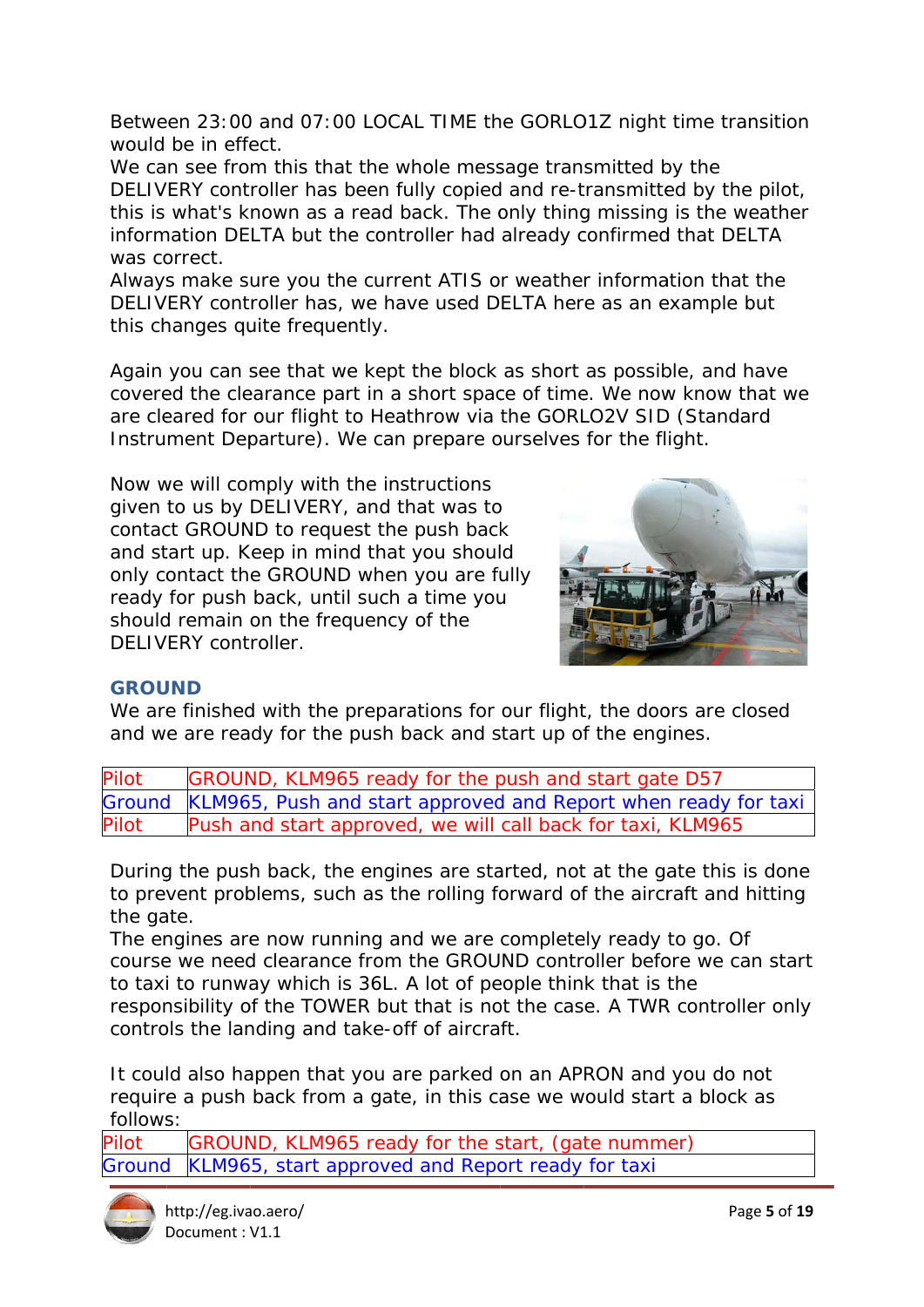Between 23:00 and 07:00 LOCAL TIME the GORLO1Z night time transition would be in effect.

We can see from this that the whole message transmitted by the DELIVERY controller has been fully copied and re-transmitted by the pilot, this is what's known as a read back. The only thing missing is the weather information DELTA but the controller had already confirmed that DELTA was correct.

Always make sure you the current ATIS or weather information that the DELIVERY controller has, we have used DELTA here as an example but this changes quite frequently.

Again you can see that we kept the block as short as possible, and have covered the clearance part in a short space of time. We now know that we are cleared for our flight to Heathrow via the GORLO2V SID (Standard Instrument Departure). We can prepare ourselves for the flight.

Now we will comply with the instructions given to us by DELIVERY, and that was to contact GROUND to request the push back and start up. Keep in mind that you should only contact the GROUND when you are fully ready for push back, until such a time you should remain on the frequency of the DELIVERY controller.



### **GROUND**

We are finished with the preparations for our flight, the doors are closed and we are ready for the push back and start up of the engines.

| Pilot | GROUND, KLM965 ready for the push and start gate D57                  |
|-------|-----------------------------------------------------------------------|
|       | Ground KLM965, Push and start approved and Report when ready for taxi |
| Pilot | Push and start approved, we will call back for taxi, KLM965           |

During the push back, the engines are started, not at the gate this is done to prevent problems, such as the rolling forward of the aircraft and hitting the gate.

The engines are now running and we are completely ready to go. Of course we need clearance from the GROUND controller before we can start to taxi to runway which is 36L. A lot of people think that is the responsibility of the TOWER but that is not the case. A TWR controller only controls the landing and take-off of aircraft.

It could also happen that you are parked on an APRON and you do not require a push back from a gate, in this case we would start a block as follows:

GROUND, KLM965 ready for the start, (gate nummer) Pilot KLM965, start approved and Report ready for taxi Ground

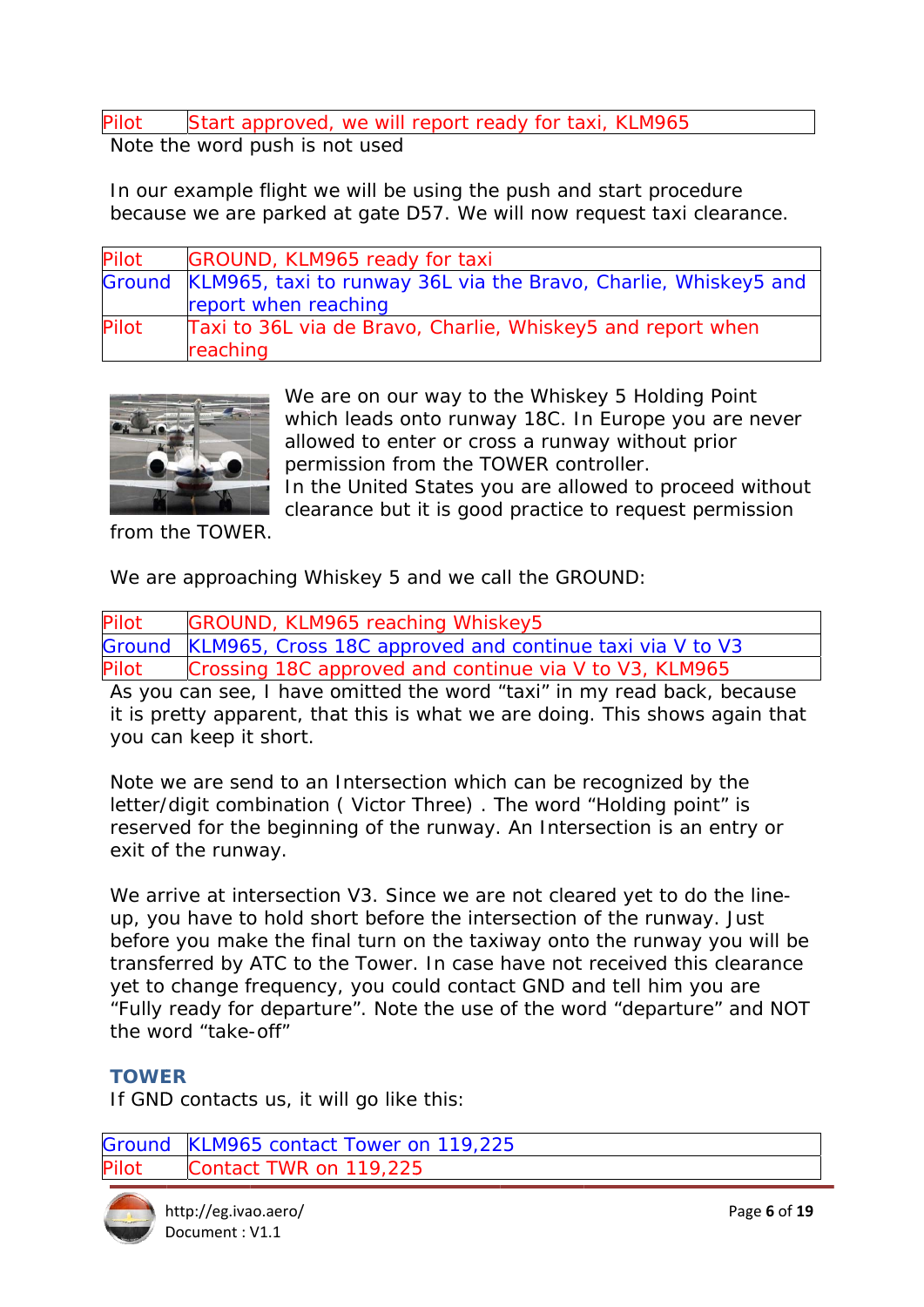Pilot Start approved, we will report ready for taxi, KLM965

Note the word push is not used

In our example flight we will be using the push and start procedure because we are parked at gate D57. We will now request taxi clearance.

| Pilot        | GROUND, KLM965 ready for taxi                                          |
|--------------|------------------------------------------------------------------------|
|              | Ground KLM965, taxi to runway 36L via the Bravo, Charlie, Whiskey5 and |
|              | report when reaching                                                   |
| <b>Pilot</b> | Taxi to 36L via de Bravo, Charlie, Whiskey5 and report when            |
|              | reaching                                                               |
|              |                                                                        |
|              | We are on our way to the Whiskey 5 Holding Point                       |
|              | which leads onto runway 18C. In Europe you are never                   |



We are on our way to the Whiskey 5 Holding Point allowed to enter or cross a runway without prior permission from the TOWER controller. In the United States you are allowed to proceed without

clearance but it is good practice to request permission

from the TOWER.

We are approaching Whiskey 5 and we call the GROUND:

| Pilot | <b>GROUND, KLM965 reaching Whiskey5</b>                         |  |
|-------|-----------------------------------------------------------------|--|
|       | Ground KLM965, Cross 18C approved and continue taxi via V to V3 |  |
| Pilot | Crossing 18C approved and continue via V to V3, KLM965          |  |
|       |                                                                 |  |

As you can see, I have omitted the word "taxi" in my read back, because it is pretty apparent, that this is what we are doing. This shows again that you can keep it short.

Note we are send to an Intersection which can be recognized by the letter/digit combination (Victor Three). The word "Holding point" is reserved for the beginning of the runway. An Intersection is an entry or exit of the runway.

We arrive at intersection V3. Since we are not cleared yet to do the lineup, you have to hold short before the intersection of the runway. Just before you make the final turn on the taxiway onto the runway you will be transferred by ATC to the Tower. In case have not received this clearance yet to change frequency, you could contact GND and tell him you are yet to change frequency, you could contact GND and tell him you are<br>"Fully ready for departure". Note the use of the word "departure" and NOT the word "take-off" report ready for ta<br>
using the push and<br>
D57. We will now re<br>
<u>y for taxi</u><br>
36L via the Bravo<br>
<sub>2</sub>, Charlie, Whiskey<br>
The Wisk moto runway 18C. It<br>
ter or cross a runw<br>
ter or cross a runw<br>
52. It<br>
ter or cross a runw<br>
53.

## **TOWE ER**

If GND contacts us, it will go like this:

```
Ground
ilot
     d KLM965 contact Tower on 119,225
        Contact TWR on 119,225
```
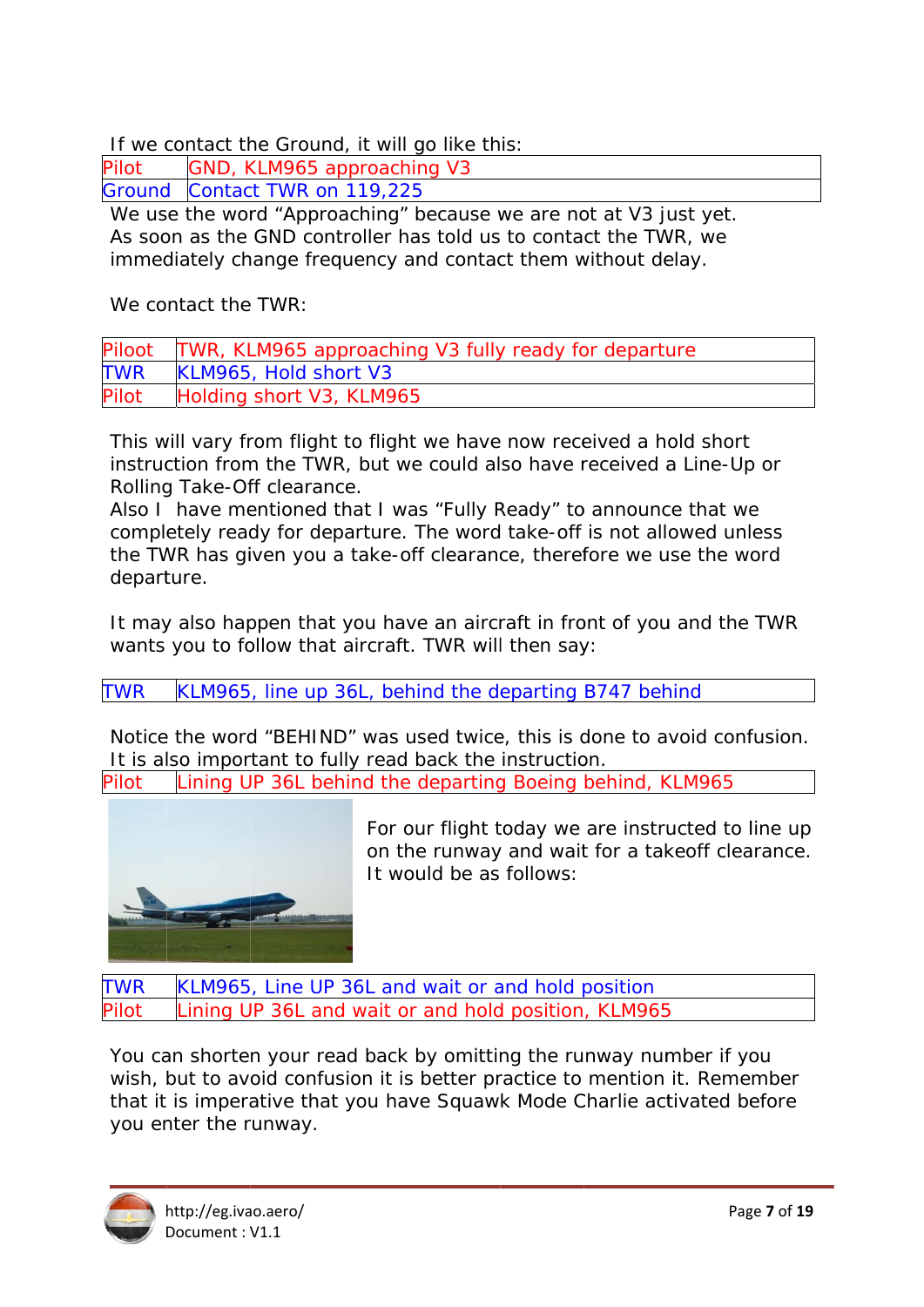If we contact the Ground, it will go like this:

| Pilot | GND, KLM965 approaching V3    |
|-------|-------------------------------|
|       | Ground Contact TWR on 119,225 |

We use the word "Approaching" because we are not at V3 just yet. As soon as the GND controller has told us to contact the TWR, we immediately change frequency and contact them without delay.

We contact the TWR:

| Piloot     | TWR, KLM965 approaching V3 fully ready for departure |
|------------|------------------------------------------------------|
| <b>TWR</b> | KLM965, Hold short V3                                |
| Pilot      | Holding short V3, KLM965                             |

This will vary from flight to flight we have now received a hold short instruction from the TWR, but we could also have received a Line-Up or Rolling Take-Off clearance.

Also I have mentioned that I was "Fully Ready" to announce that we completely ready for departure. The word take-off is not allowed unless the TWR has given you a take-off clearance, therefore we use the word departure.

It may also happen that you have an aircraft in front of you and the TWR wants you to follow that aircraft. TWR will then say:

**TWR** KLM965, line up 36L, behind the departing B747 behind

Notice the word "BEHIND" was used twice, this is done to avoid confusion. It is also important to fully read back the instruction.

Lining UP 36L behind the departing Boeing behind, KLM965 Pilot



For our flight today we are instructed to line up on the runway and wait for a takeoff clearance. It would be as follows:

**TWR** KLM965, Line UP 36L and wait or and hold position ining UP 36L and wait or and hold position, KLM965 Pilot

You can shorten your read back by omitting the runway number if you wish, but to avoid confusion it is better practice to mention it. Remember that it is imperative that you have Squawk Mode Charlie activated before you enter the runway.

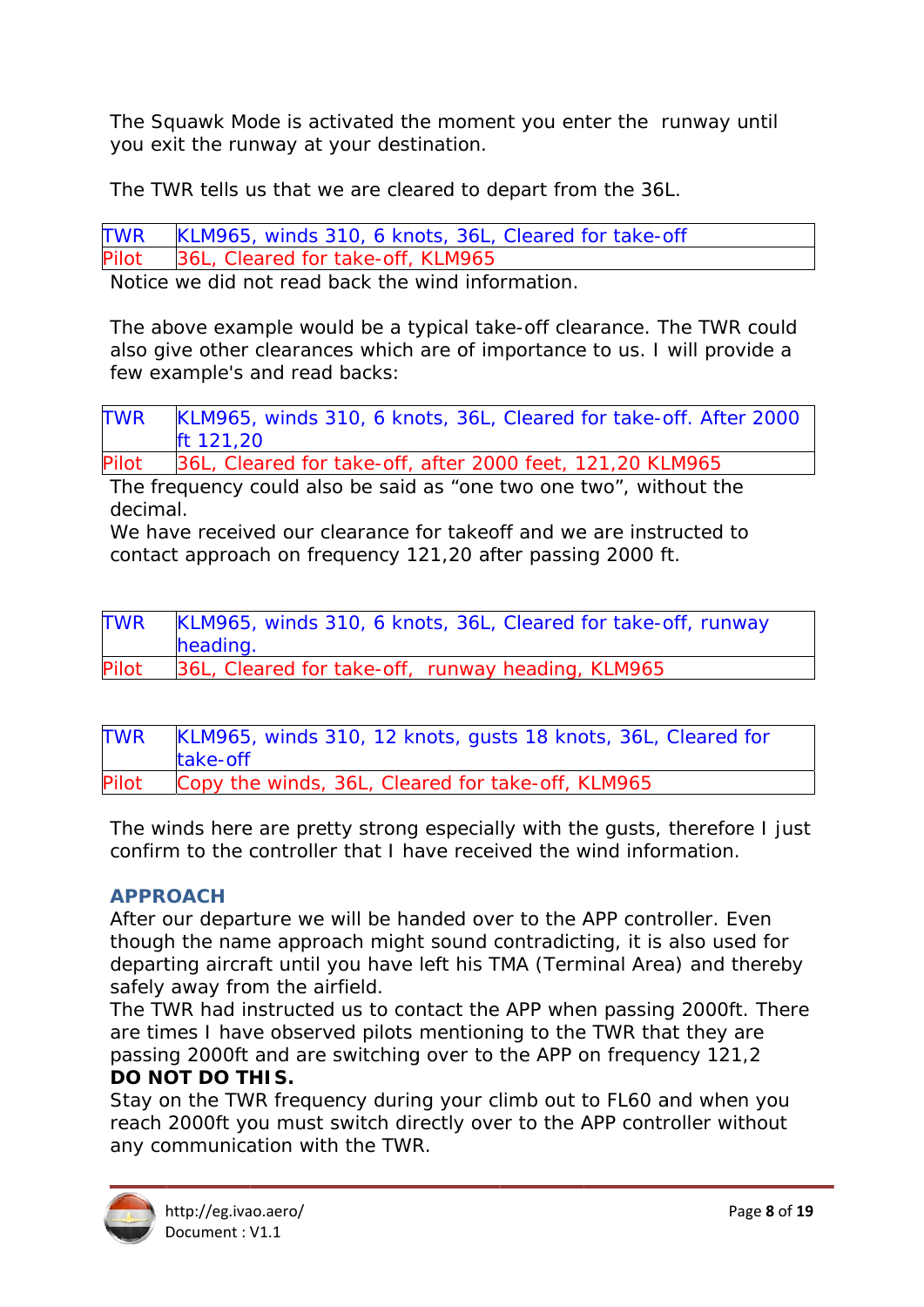The Squawk Mode is activated the moment you enter the runway until you exit the runway at your destination.

The TWR tells us that we are cleared to depart from the 36L.

KLM965, winds 310, 6 knots, 36L, Cleared for take-off **TWR** 36L, Cleared for take-off, KLM965 Pilot

Notice we did not read back the wind information.

The above example would be a typical take-off clearance. The TWR could also give other clearances which are of importance to us. I will provide a few example's and read backs:

KLM965, winds 310, 6 knots, 36L, Cleared for take-off. After 2000 **TWR** ft 121,20

36L, Cleared for take-off, after 2000 feet, 121,20 KLM965 Pilot

The frequency could also be said as "one two one two", without the decimal

We have received our clearance for takeoff and we are instructed to contact approach on frequency 121,20 after passing 2000 ft.

| TWR   | KLM965, winds 310, 6 knots, 36L, Cleared for take-off, runway |
|-------|---------------------------------------------------------------|
|       | heading.                                                      |
| Pilot | 36L, Cleared for take-off, runway heading, KLM965             |

| TWR   | KLM965, winds 310, 12 knots, gusts 18 knots, 36L, Cleared for<br>take-off |
|-------|---------------------------------------------------------------------------|
| Pilot | Copy the winds, 36L, Cleared for take-off, KLM965                         |

The winds here are pretty strong especially with the gusts, therefore I just confirm to the controller that I have received the wind information.

## **APPROACH**

After our departure we will be handed over to the APP controller. Even though the name approach might sound contradicting, it is also used for departing aircraft until you have left his TMA (Terminal Area) and thereby safely away from the airfield.

The TWR had instructed us to contact the APP when passing 2000ft. There are times I have observed pilots mentioning to the TWR that they are passing 2000ft and are switching over to the APP on frequency 121,2 **DO NOT DO THIS.** 

Stay on the TWR frequency during your climb out to FL60 and when you reach 2000ft you must switch directly over to the APP controller without any communication with the TWR.

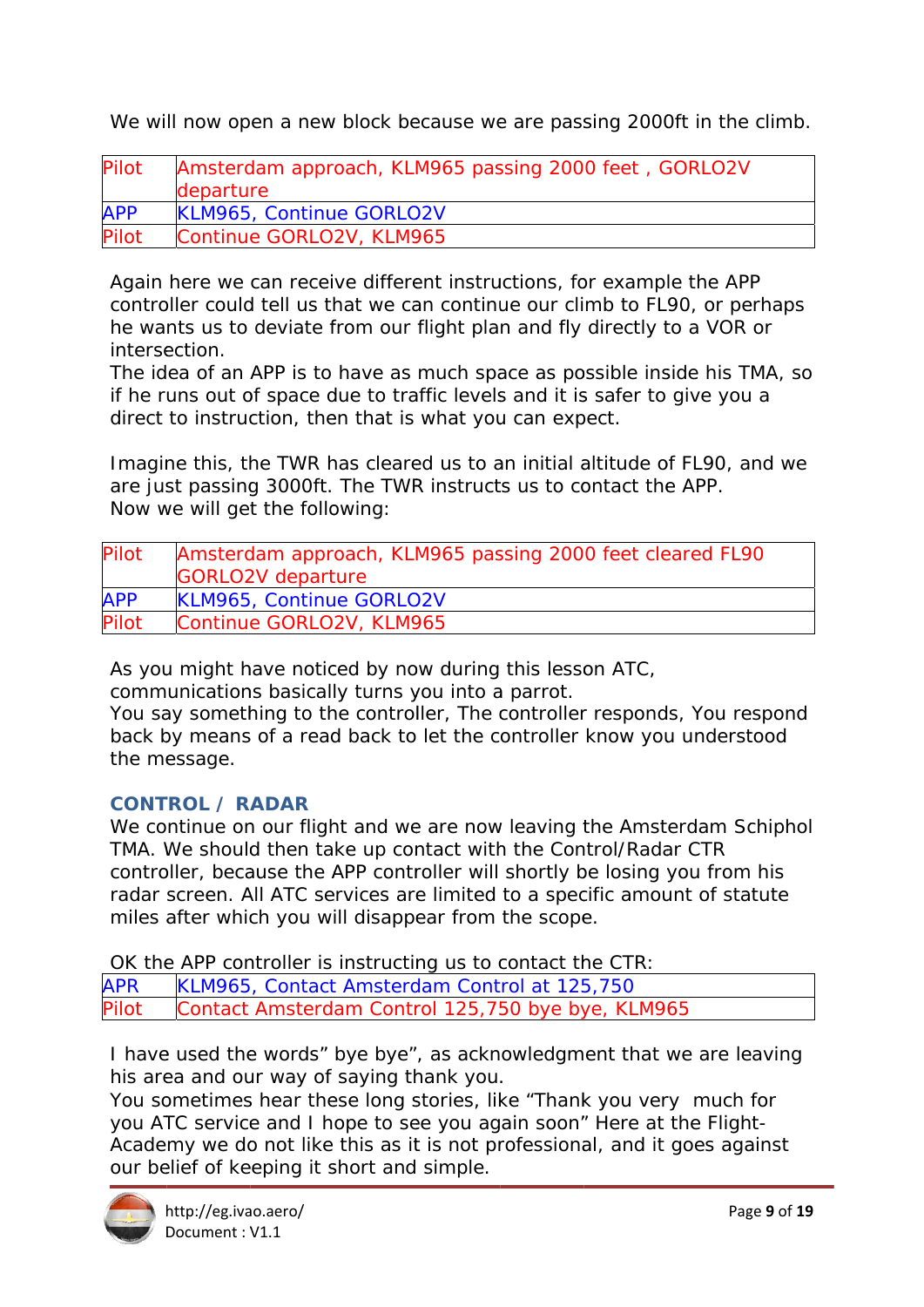We will now open a new block because we are passing 2000ft in the climb.

| Pilot      | Amsterdam approach, KLM965 passing 2000 feet, GORLO2V<br>departure |
|------------|--------------------------------------------------------------------|
| <b>APP</b> | <b>KLM965, Continue GORLO2V</b>                                    |
| Pilot      | Continue GORLO2V, KLM965                                           |

Again here we can receive different instructions, for example the APP controller could tell us that we can continue our climb to FL90, or perhaps he wants us to deviate from our flight plan and fly directly to a VOR or intersection.

The idea of an APP is to have as much space as possible inside his TMA, so if he runs out of space due to traffic levels and it is safer to give you a direct to instruction, then that is what you can expect.

Imagine this, the TWR has cleared us to an initial altitude of FL90, and we are just passing 3000ft. The TWR instructs us to contact the APP. Now we will get the following:

| Pilot      | Amsterdam approach, KLM965 passing 2000 feet cleared FL90 |
|------------|-----------------------------------------------------------|
|            | <b>GORLO2V</b> departure                                  |
| <b>APP</b> | <b>KLM965, Continue GORLO2V</b>                           |
| Pilot      | Continue GORLO2V, KLM965                                  |

As you might have noticed by now during this lesson ATC,

communications basically turns you into a parrot.

You say something to the controller, The controller responds, You respond back by means of a read back to let the controller know you understood the message.

## **CONTROL / RADAR**

We continue on our flight and we are now leaving the Amsterdam Schiphol TMA. We should then take up contact with the Control/Radar CTR controller, because the APP controller will shortly be losing you from his radar screen. All ATC services are limited to a specific amount of statute miles after which you will disappear from the scope.

OK the APP controller is instructing us to contact the CTR:

**APR** KLM965, Contact Amsterdam Control at 125,750 Pilot Contact Amsterdam Control 125,750 bye bye, KLM965

I have used the words" bye bye", as acknowledgment that we are leaving his area and our way of saying thank you.

You sometimes hear these long stories, like "Thank you very much for you ATC service and I hope to see you again soon" Here at the Flight-Academy we do not like this as it is not professional, and it goes against our belief of keeping it short and simple.

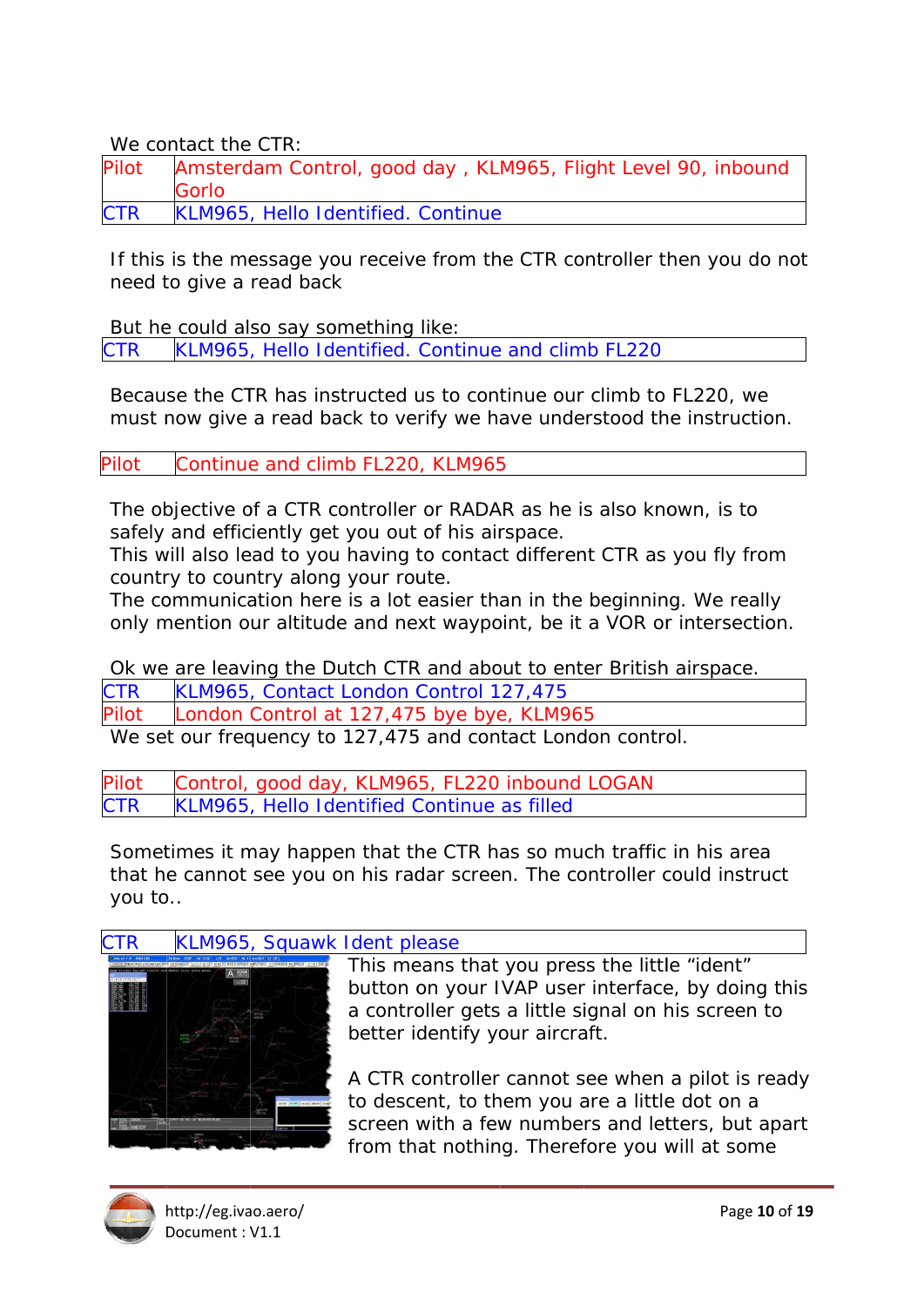We contact the CTR:

| Pilot | Amsterdam Control, good day, KLM965, Flight Level 90, inbound<br><b>Gorlo</b> |
|-------|-------------------------------------------------------------------------------|
| CTR   | KLM965, Hello Identified. Continue                                            |

If this is the message you receive from the CTR controller then you do not need to give a read back

But he could also say something like:

KLM965, Hello Identified. Continue and climb FL220 **CTR** 

Because the CTR has instructed us to continue our climb to FL220, we must now give a read back to verify we have understood the instruction.

Pilot Continue and climb FL220, KLM965

The objective of a CTR controller or RADAR as he is also known, is to safely and efficiently get you out of his airspace.

This will also lead to you having to contact different CTR as you fly from country to country along your route.

The communication here is a lot easier than in the beginning. We really only mention our altitude and next waypoint, be it a VOR or intersection.

Ok we are leaving the Dutch CTR and about to enter British airspace.

KLM965, Contact London Control 127,475 CTR

London Control at 127,475 bye bye, KLM965 Pilot

We set our frequency to 127,475 and contact London control.

Control, good day, KLM965, FL220 inbound LOGAN Pilot KLM965, Hello Identified Continue as filled **CTR** 

Sometimes it may happen that the CTR has so much traffic in his area that he cannot see you on his radar screen. The controller could instruct vou to..

#### CTR KLM965, Squawk Ident please



This means that you press the little "ident" button on your IVAP user interface, by doing this a controller gets a little signal on his screen to better identify your aircraft.

A CTR controller cannot see when a pilot is ready to descent, to them you are a little dot on a screen with a few numbers and letters, but apart from that nothing. Therefore you will at some

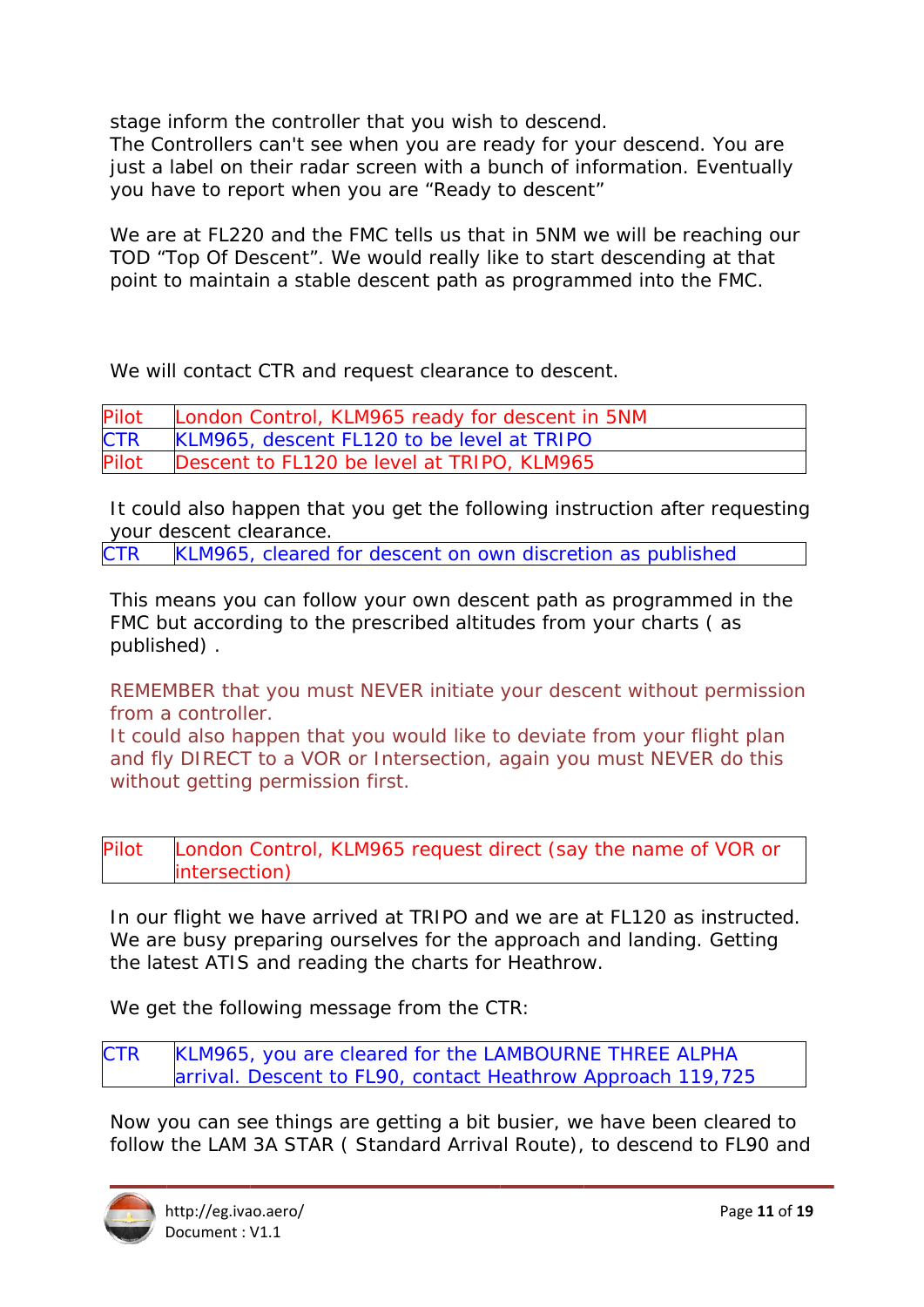stage inform the controller that you wish to descend.

The Controllers can't see when you are ready for your descend. You are just a label on their radar screen with a bunch of information. Eventually you have to report when you are "Ready to descent"

We are at FL220 and the FMC tells us that in 5NM we will be reaching our TOD "Top Of Descent". We would really like to start descending at that point to maintain a stable descent path as programmed into the FMC.

We will contact CTR and request clearance to descent.

| Pilot      | London Control, KLM965 ready for descent in 5NM |
|------------|-------------------------------------------------|
| <b>CTR</b> | KLM965, descent FL120 to be level at TRIPO      |
| Pilot      | Descent to FL120 be level at TRIPO, KLM965      |

It could also happen that you get the following instruction after requesting your descent clearance.

**CTR** KLM965, cleared for descent on own discretion as published

This means you can follow your own descent path as programmed in the FMC but according to the prescribed altitudes from your charts (as publish hed) .

REMEMBER that you must NEVER initiate your descent without permission from a controller.

It could also happen that you would like to deviate from your flight plan and fly DIRECT to a VOR or Intersection, again you must NEVER do this without getting permission first.

Pilot London Control, KLM965 request direct (say the name of VOR or intersection)

In our flight we have arrived at TRIPO and we are at FL120 as instructed. We are busy preparing ourselves for the approach and landing. Getting the latest ATIS and reading the charts for Heathrow.

We get the following message from the CTR:

CTR KLM965, you are cleared for the LAMBOURNE THREE ALPHA arrival. Descent to FL90, contact Heathrow Approach 119,725

arrival. Descent to FL90, contact Heathrow Approach 119,725<br>Now you can see things are getting a bit busier, we have been cleared to follow the LAM 3A STAR (Standard Arrival Route), to descend to FL90 and

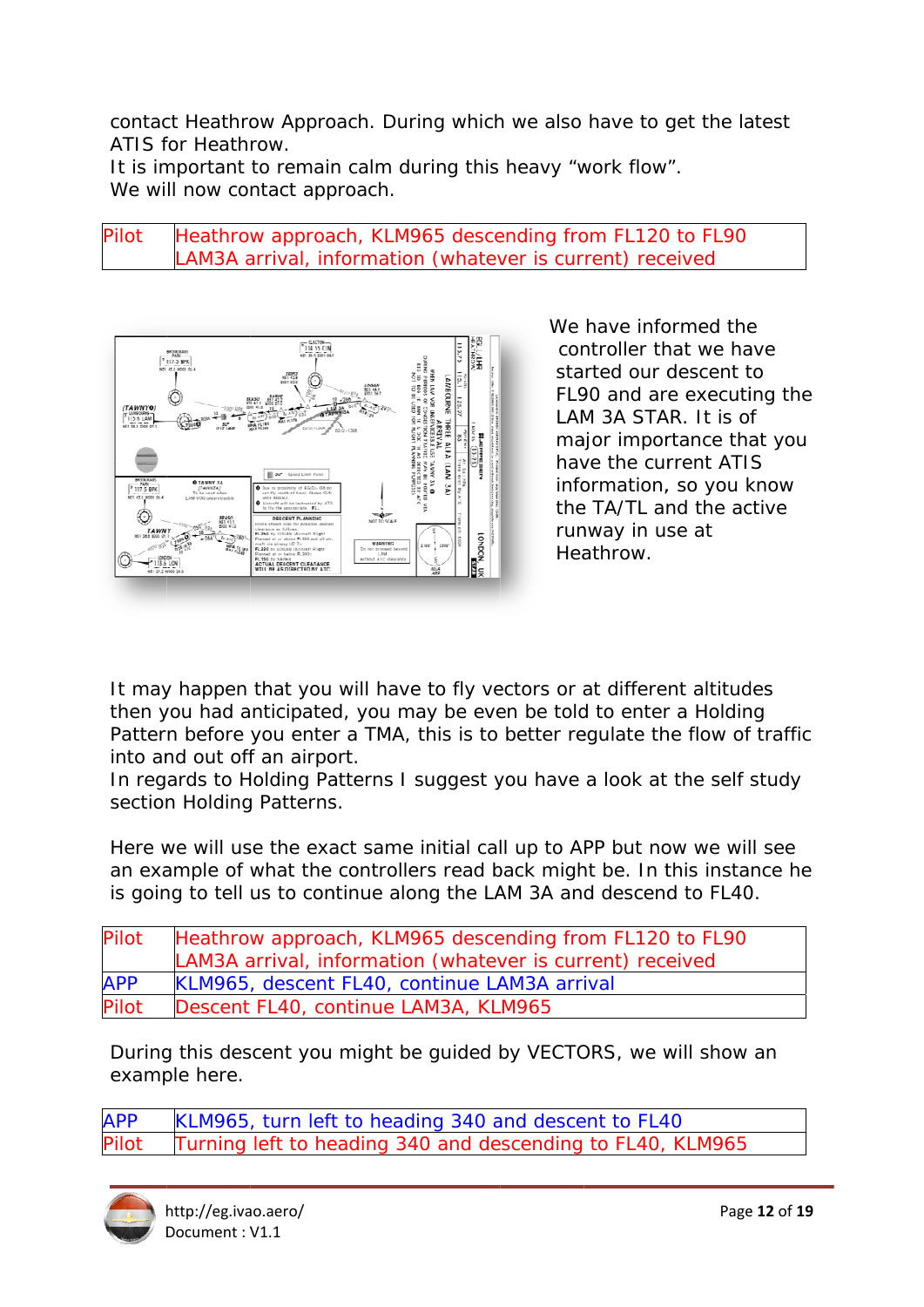contact Heathrow Approach. During which we also have to get the latest ATIS for Heathrow

It is important to remain calm during this heavy "work flow". We will now contact approach.

### Heathrow approach, KLM965 descending from FL120 to FL90 Pilot LAM3A arrival, information (whatever is current) received



We have informed the controller that we have started our descent to FL90 and are executing the LAM 3A STAR. It is of major importance that you have the current ATIS information, so you know the TA/TL and the active runway in use at Heathrow.

It may happen that you will have to fly vectors or at different altitudes then you had anticipated, you may be even be told to enter a Holding Pattern before you enter a TMA, this is to better regulate the flow of traffic into and out off an airport.

In regards to Holding Patterns I suggest you have a look at the self study section Holding Patterns.

Here we will use the exact same initial call up to APP but now we will see an example of what the controllers read back might be. In this instance he is going to tell us to continue along the LAM 3A and descend to FL40.

| Pilot        | Heathrow approach, KLM965 descending from FL120 to FL90   |
|--------------|-----------------------------------------------------------|
|              | LAM3A arrival, information (whatever is current) received |
| <b>APP</b>   | KLM965, descent FL40, continue LAM3A arrival              |
| <b>Pilot</b> | Descent FL40, continue LAM3A, KLM965                      |

During this descent you might be quided by VECTORS, we will show an example here.

KLM965, turn left to heading 340 and descent to FL40 **APP** Turning left to heading 340 and descending to FL40, KLM965 'ilot

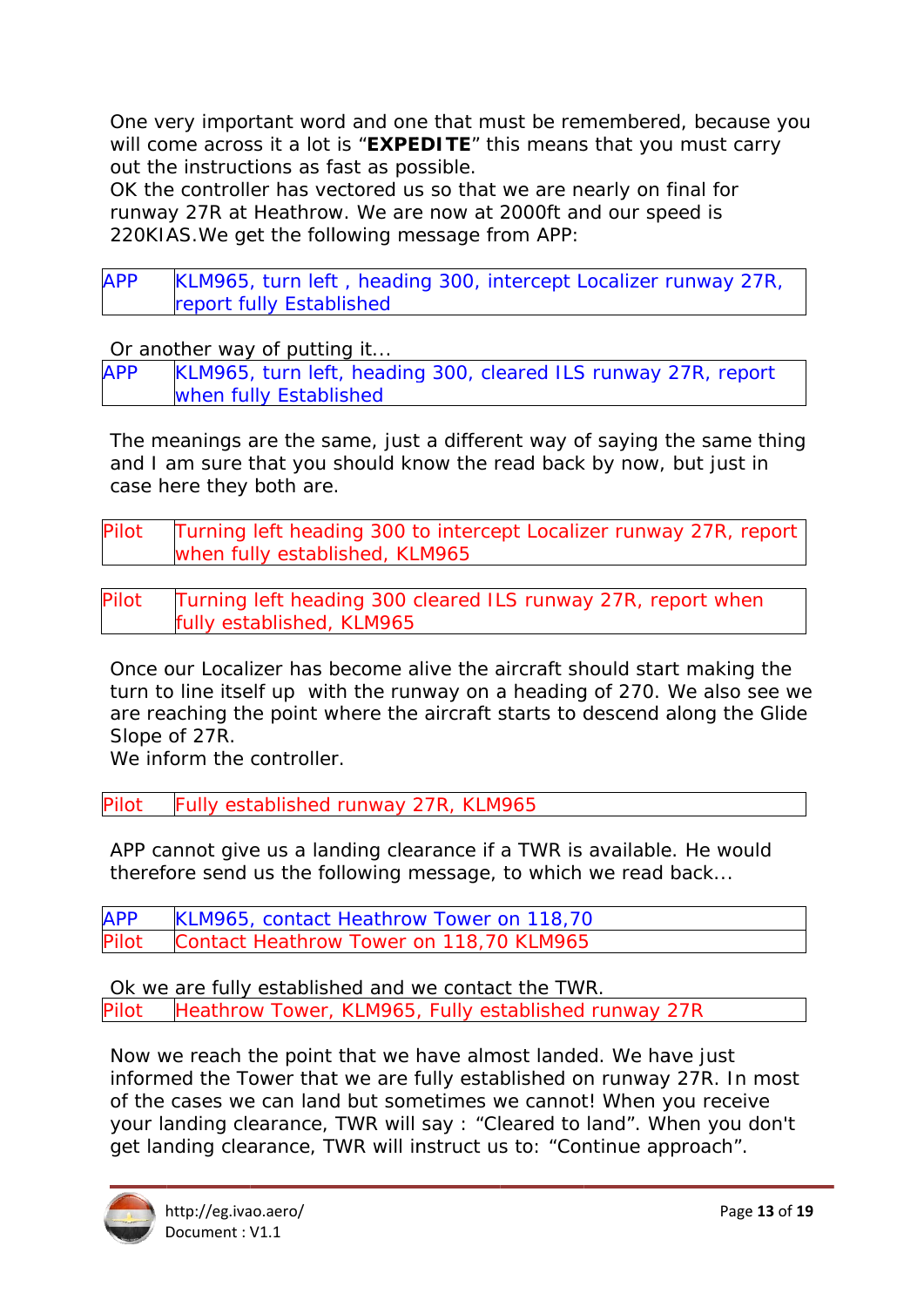One very important word and one that must be remembered, because you will come across it a lot is "EXPEDITE" this means that you must carry out the instructions as fast as possible.

OK the controller has vectored us so that we are nearly on final for runway 27R at Heathrow. We are now at 2000ft and our speed is 220KIAS. We get the following message from APP:

**APP** KLM965, turn left, heading 300, intercept Localizer runway 27R, report fully Established

Or another way of putting it...

KLM965, turn left, heading 300, cleared ILS runway 27R, report **APP** when fully Established

The meanings are the same, just a different way of saying the same thing and I am sure that you should know the read back by now, but just in case here they both are.

Pilot Turning left heading 300 to intercept Localizer runway 27R, report when fully established, KLM965

Pilot Turning left heading 300 cleared ILS runway 27R, report when fully established, KLM965

Once our Localizer has become alive the aircraft should start making the turn to line itself up with the runway on a heading of 270. We also see we are reaching the point where the aircraft starts to descend along the Glide Slope of 27R.

We inform the controller.

Pilot Fully established runway 27R, KLM965

APP cannot give us a landing clearance if a TWR is available. He would therefore send us the following message, to which we read back...

**APP** KLM965, contact Heathrow Tower on 118,70 Pilot Contact Heathrow Tower on 118,70 KLM965

Ok we are fully established and we contact the TWR. Pilot Heathrow Tower, KLM965, Fully established runway 27R

Now we reach the point that we have almost landed. We have just informed the Tower that we are fully established on runway 27R. In most of the cases we can land but sometimes we cannot! When you receive your landing clearance, TWR will say : "Cleared to land". When you don't get landing clearance, TWR will instruct us to: "Continue approach".

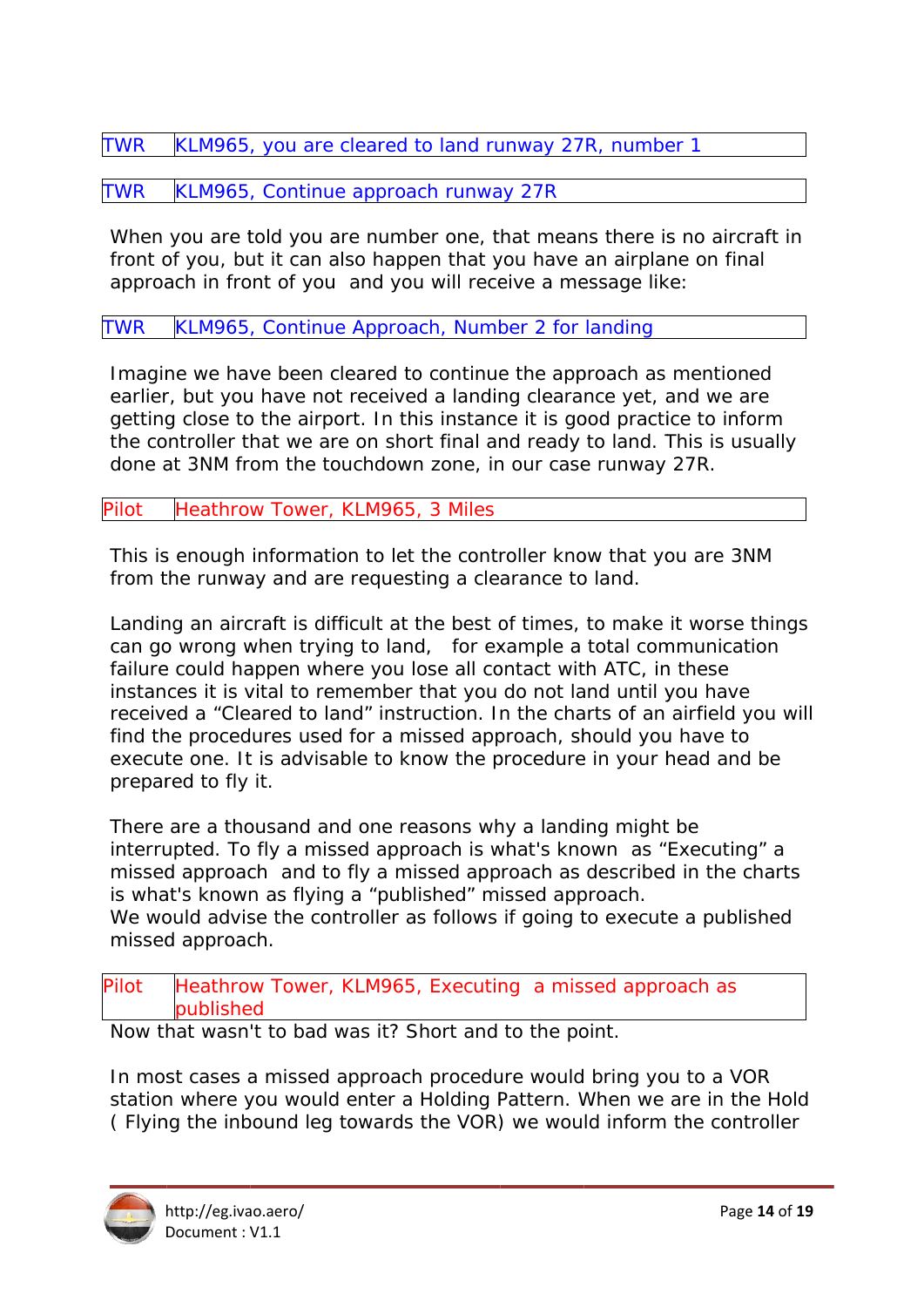TWR KLM965, you are cleared to land runway 27R, number 1

TWR KLM965, Continue approach runway 27R

When you are told you are number one, that means there is no aircraft in front of you, but it can also happen that you have an airplane on final approach in front of you and you will receive a message like:

TWR KLM965, Continue Approach, Number 2 for landing

Imagine we have been cleared to continue the approach as mentioned earlier, but you have not received a landing clearance yet, and we are getting close to the airport. In this instance it is good practice to inform the controller that we are on short final and ready to land. This is usually done at 3NM from the touchdown zone, in our case runway 27R.

Pilot Heathro w Tower, KLM965 , 3 Miles

This is enough information to let the controller know that you are 3NM from the runway and are requesting a clearance to land.

Landing an aircraft is difficult at the best of times, to make it worse things can go wrong when trying to land, for example a total communication failure could happen where you lose all contact with ATC, in these instances it is vital to remember that you do not land until you have received a "Cleared to land" instruction. In the charts of an airfield you will find the procedures used for a missed approach, should you have to execute one. It is advisable to know the procedure in your head and be prepared to fly it.

There are a thousand and one reasons why a landing might be interrupted. To fly a missed approach is what's known as "Executing" a missed approach and to fly a missed approach as described in the charts is what's known as flying a "published" missed approach. We would advise the controller as follows if going to execute a published missed approach.

Pilot Heathrow Tower, KLM965, Executing a missed approach as published

Now that wasn't to bad was it? Short and to the point.

In most cases a missed approach procedure would bring you to a VOR station where you would enter a Holding Pattern. When we are in the Hold (Flying the inbound leg towards the VOR) we would inform the controller

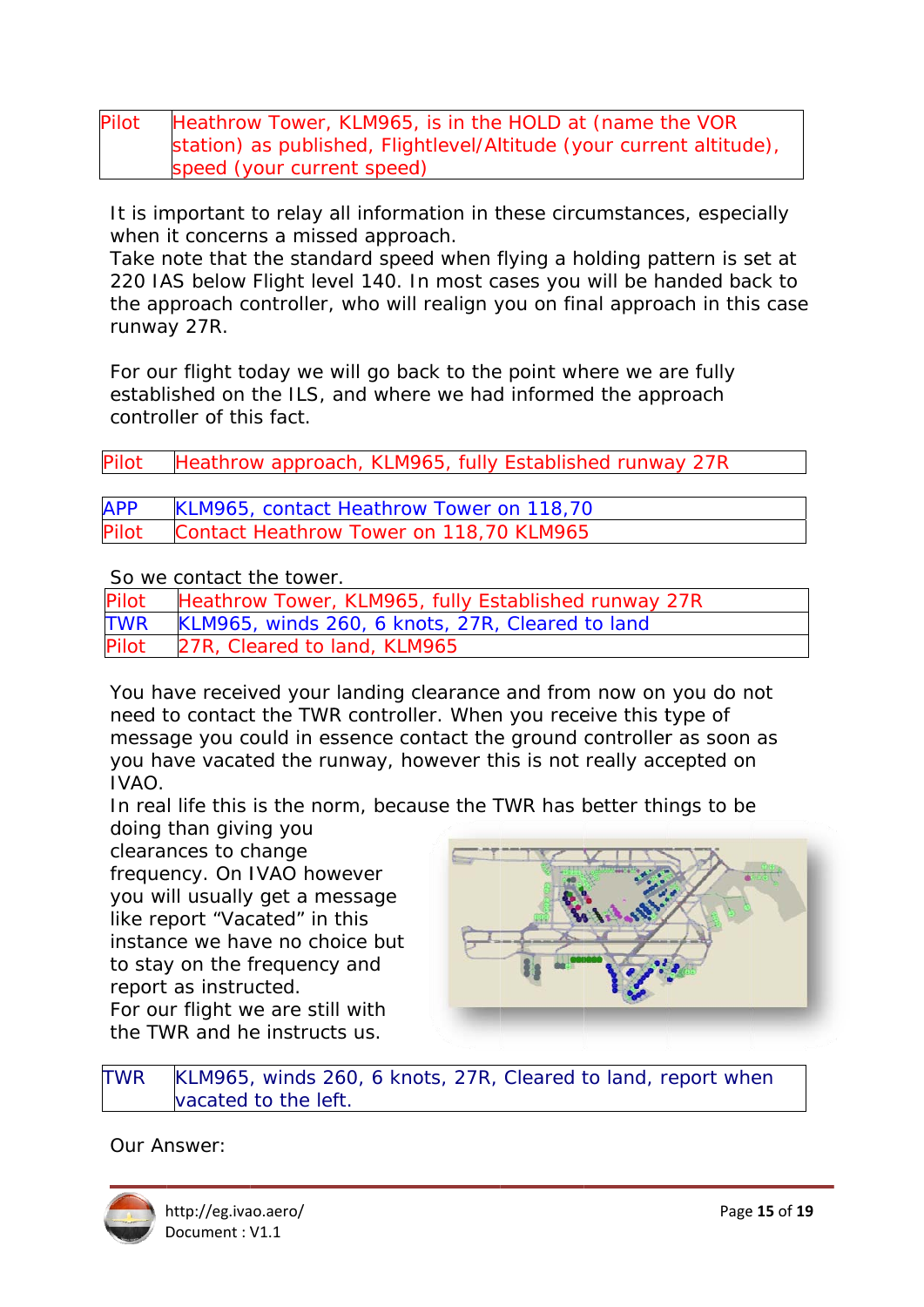| Pilot | Heathrow Tower, KLM965, is in the HOLD at (name the VOR              |
|-------|----------------------------------------------------------------------|
|       | station) as published, Flightlevel/Altitude (your current altitude), |
|       | speed (your current speed)                                           |

It is important to relay all information in these circumstances, especially when it concerns a missed approach.

Take note that the standard speed when flying a holding pattern is set at 220 IAS below Flight level 140. In most cases you will be handed back to the approach controller, who will realign you on final approach in this case runway 27R.

For our flight today we will go back to the point where we are fully established on the ILS, and where we had informed the approach controller of this fact.

| Pilot      | Heathrow approach, KLM965, fully Established runway 27R |
|------------|---------------------------------------------------------|
|            |                                                         |
| <b>APP</b> | KLM965, contact Heathrow Tower on 118,70                |
| Pilot      | Contact Heathrow Tower on 118,70 KLM965                 |

So we contact the tower.

| Pilot      | Heathrow Tower, KLM965, fully Established runway 27R |
|------------|------------------------------------------------------|
| <b>TWR</b> | KLM965, winds 260, 6 knots, 27R, Cleared to land     |
| Pilot      | 27R, Cleared to land, KLM965                         |

You have received your landing clearance and from now on you do not need to contact the TWR controller. When you receive this type of message you could in essence contact the ground controller as soon as you have vacated the runway, however this is not really accepted on IVAO.

In real life this is the norm, because the TWR has better things to be

doing than giving you

clearances to change frequency. On IVAO however you will usually get a message like report "Vacated" in this instance we have no choice but to stay on the frequency and report as instructed. For our flight we are still with the TWR and he instructs us



**TWR** KLM965, winds 260, 6 knots, 27R, Cleared to land, report when vacated to the left.

Our Answer:

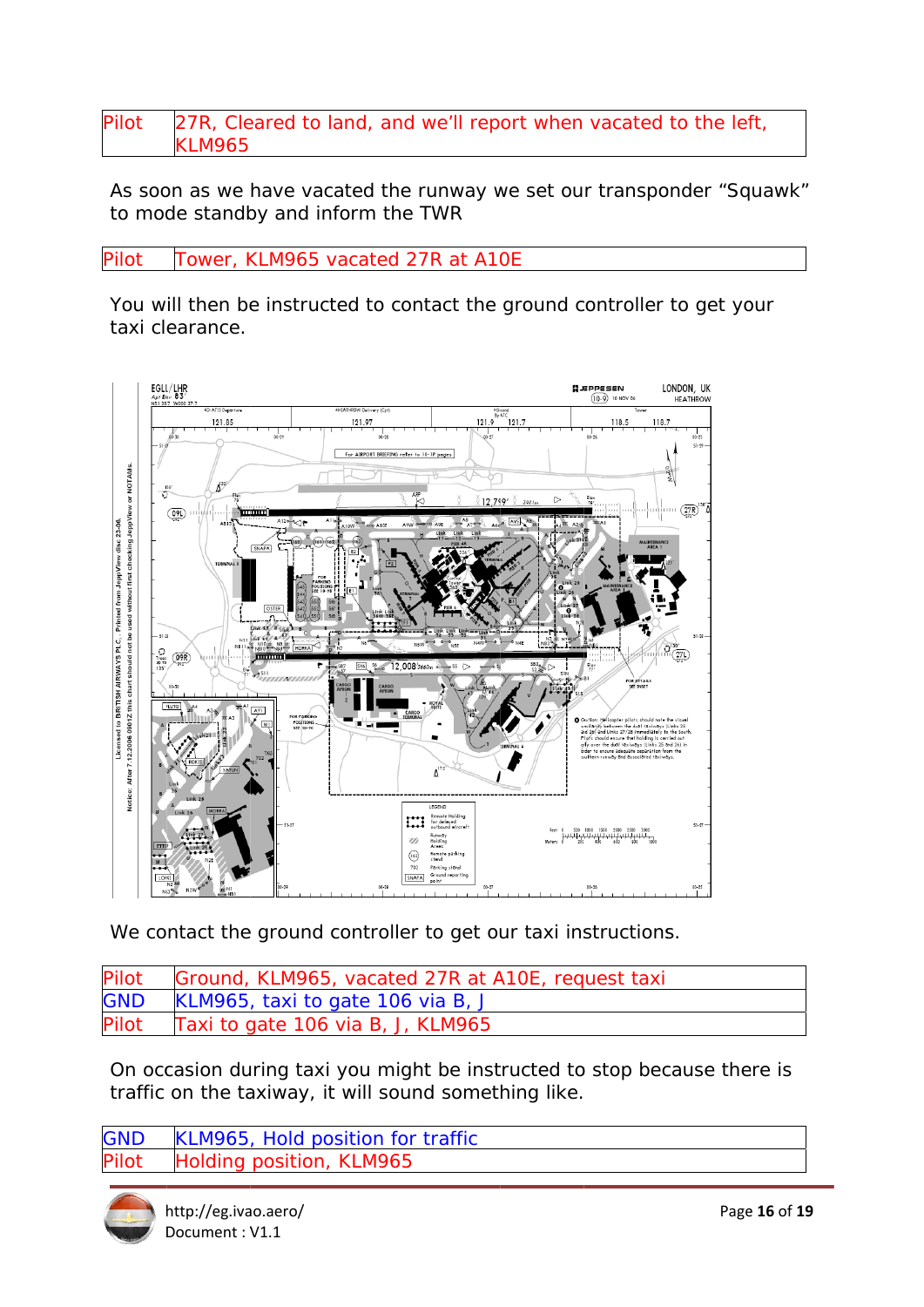### Pilot 27R, Cleared to land, and we'll report when vacated to the left, **KLM965**

As soon as we have vacated the runway we set our transponder "Squawk" to mode standby and inform the TWR

Tower, KLM965 vacated 27R at A10E **Pilot** 

You will then be instructed to contact the ground controller to get your taxi clearance.



We contact the ground controller to get our taxi instructions.

Pilot Ground, KLM965, vacated 27R at A10E, request taxi **GND** KLM965, taxi to gate 106 via B, J Pilot Taxi to gate 106 via B, J, KLM965

On occasion during taxi you might be instructed to stop because there is traffic on the taxiway, it will sound something like.

KLM965, Hold position for traffic **GND** <sup>l</sup>ilot Holding position, KLM965

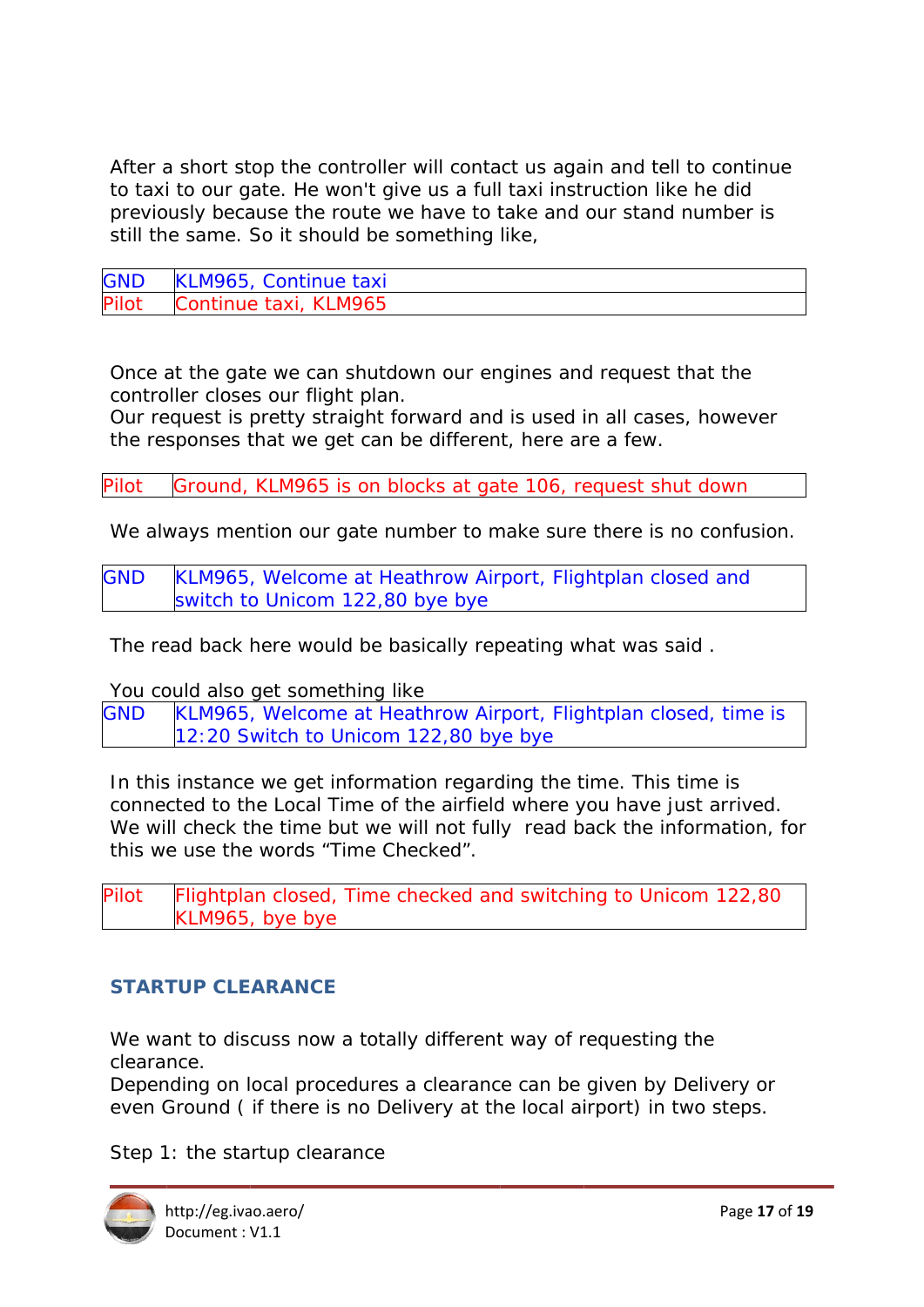After a short stop the controller will contact us again and tell to continue to taxi to our gate. He won't give us a full taxi instruction like he did previously because the route we have to take and our stand number is still the same. So it should be something like,

| <b>GND</b> | KLM965, Continue taxi |
|------------|-----------------------|
| Pilot      | Continue taxi, KLM965 |

Once at the gate we can shutdown our engines and request that the controller closes our flight plan.

Our request is pretty straight forward and is used in all cases, however the responses that we get can be different, here are a few.

Ground, KLM965 is on blocks at gate 106, request shut down Pilot

We always mention our gate number to make sure there is no confusion.

**GND** KLM965, Welcome at Heathrow Airport, Flightplan closed and switch to Unicom 122,80 bye bye

The read back here would be basically repeating what was said.

You could also get something like

**GND** KLM965, Welcome at Heathrow Airport, Flightplan closed, time is 12:20 Switch to Unicom 122,80 bye bye

In this instance we get information regarding the time. This time is connected to the Local Time of the airfield where you have just arrived. We will check the time but we will not fully read back the information, for this we use the words "Time Checked".

Flightplan closed, Time checked and switching to Unicom 122,80 **Pilot** KLM965, bye bye

### **STARTUP CLEARANCE**

We want to discuss now a totally different way of requesting the clearance.

Depending on local procedures a clearance can be given by Delivery or even Ground (if there is no Delivery at the local airport) in two steps.

Step 1: the startup clearance

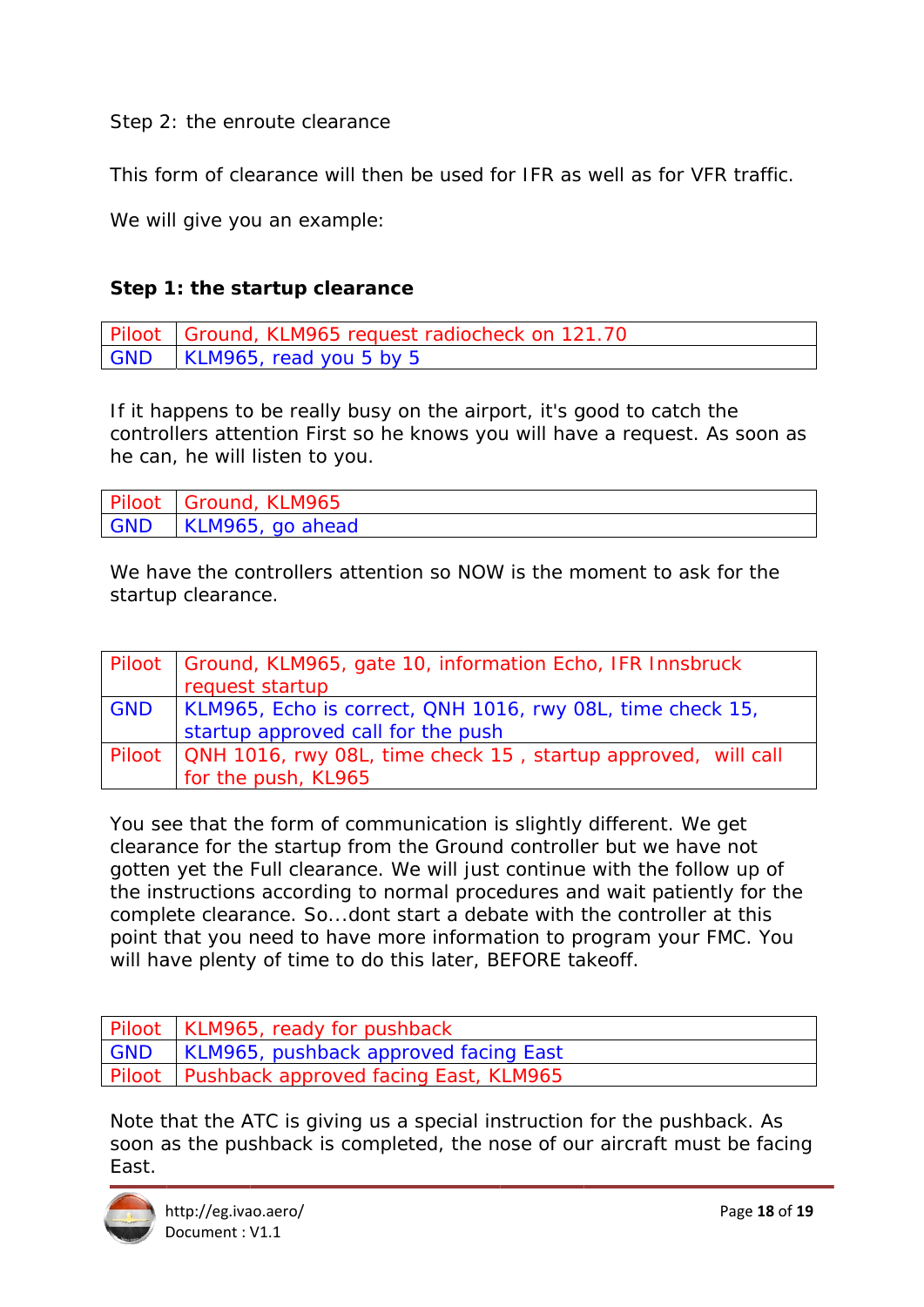Step 2: the enroute clearance

This form of clearance will then be used for IFR as well as for VFR traffic.

We will give you an example:

### **Step 1: the startup clearance**

Piloot GND Ground, KLM965 request radiocheck on 121.70 KLM965, read you 5 by 5

If it happens to be really busy on the airport, it's good to catch the controllers attention First so he knows you will have a request. As soon as he can, he will listen to you.

| Piloot   Ground, KLM965 |
|-------------------------|
| GND   KLM965, go ahead  |

We have the controllers attention so NOW is the moment to ask for the startu p clearan ce.

|            | Piloot   Ground, KLM965, gate 10, information Echo, IFR Innsbruck<br>request startup             |
|------------|--------------------------------------------------------------------------------------------------|
| <b>GND</b> | KLM965, Echo is correct, QNH 1016, rwy 08L, time check 15,<br>startup approved call for the push |
|            | Piloot   QNH 1016, rwy 08L, time check 15, startup approved, will call<br>for the push, KL965    |

You see that the form of communication is slightly different. We get clearance for the startup from the Ground controller but we have not gotten yet the Full clearance. We will just continue with the follow up of the instructions according to normal procedures and wait patiently for the complete clearance. So...dont start a debate with the controller at this point that you need to have more information to program your FMC. You will have plenty of time to do this later, BEFORE takeoff.

| Piloot   KLM965, ready for pushback            |
|------------------------------------------------|
| GND   KLM965, pushback approved facing East    |
| Piloot   Pushback approved facing East, KLM965 |

Note that the ATC is giving us a special instruction for the pushback. As soon as the pushback is completed, the nose of our aircraft must be facing East.